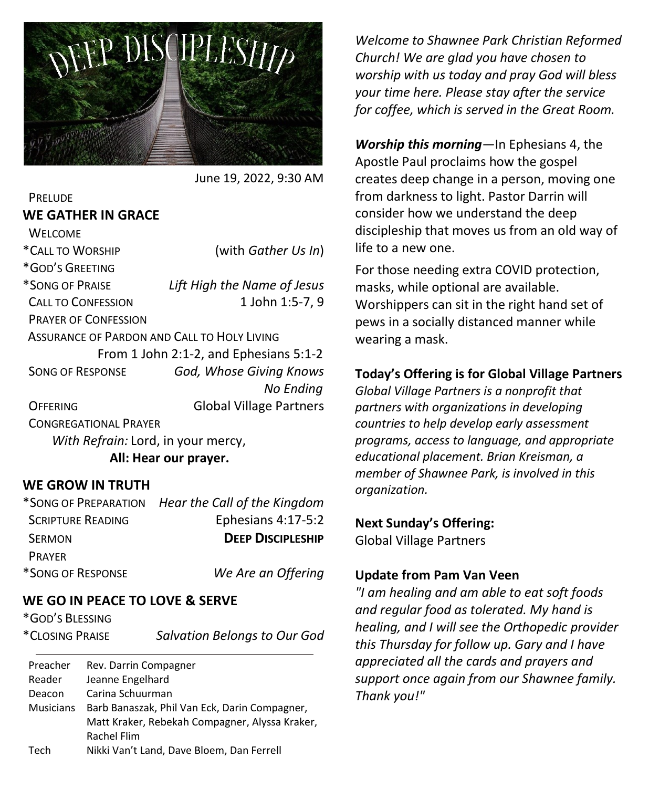

June 19, 2022, 9:30 AM

# **WE GATHER IN GRACE**

**PRELUDE** 

| <b>WELCOME</b>                              |                                        |
|---------------------------------------------|----------------------------------------|
| *CALL TO WORSHIP                            | (with Gather Us In)                    |
| *GOD'S GREETING                             |                                        |
| *SONG OF PRAISE                             | Lift High the Name of Jesus            |
| <b>CALL TO CONFESSION</b>                   | 1 John 1:5-7, 9                        |
| <b>PRAYER OF CONFESSION</b>                 |                                        |
| ASSURANCE OF PARDON AND CALL TO HOLY LIVING |                                        |
|                                             | From 1 John 2:1-2, and Ephesians 5:1-2 |
| <b>SONG OF RESPONSE</b>                     | God, Whose Giving Knows                |
|                                             | No Ending                              |
| OFFFRING                                    | <b>Global Village Partners</b>         |
| <b>CONGREGATIONAL PRAYER</b>                |                                        |

*With Refrain:* Lord, in your mercy, **All: Hear our prayer.**

#### **WE GROW IN TRUTH**

| *SONG OF PREPARATION     | Hear the Call of the Kingdom |
|--------------------------|------------------------------|
| <b>SCRIPTURE READING</b> | Ephesians 4:17-5:2           |
| <b>SERMON</b>            | <b>DEEP DISCIPLESHIP</b>     |
| <b>PRAYER</b>            |                              |
| *SONG OF RESPONSE        | We Are an Offering           |

### **WE GO IN PEACE TO LOVE & SERVE**

\*GOD'S BLESSING

\*CLOSING PRAISE *Salvation Belongs to Our God*

Preacher Rev. Darrin Compagner Reader Jeanne Engelhard Deacon Carina Schuurman Musicians Barb Banaszak, Phil Van Eck, Darin Compagner, Matt Kraker, Rebekah Compagner, Alyssa Kraker, Rachel Flim Tech Nikki Van't Land, Dave Bloem, Dan Ferrell

*Welcome to Shawnee Park Christian Reformed Church! We are glad you have chosen to worship with us today and pray God will bless your time here. Please stay after the service for coffee, which is served in the Great Room.*

*Worship this morning—*In Ephesians 4, the Apostle Paul proclaims how the gospel creates deep change in a person, moving one from darkness to light. Pastor Darrin will consider how we understand the deep discipleship that moves us from an old way of life to a new one.

For those needing extra COVID protection, masks, while optional are available. Worshippers can sit in the right hand set of pews in a socially distanced manner while wearing a mask.

# **Today's Offering is for Global Village Partners**

*Global Village Partners is a nonprofit that partners with organizations in developing countries to help develop early assessment programs, access to language, and appropriate educational placement. Brian Kreisman, a member of Shawnee Park, is involved in this organization.*

**Next Sunday's Offering:**  Global Village Partners

#### **Update from Pam Van Veen**

*"I am healing and am able to eat soft foods and regular food as tolerated. My hand is healing, and I will see the Orthopedic provider this Thursday for follow up. Gary and I have appreciated all the cards and prayers and support once again from our Shawnee family. Thank you!"*